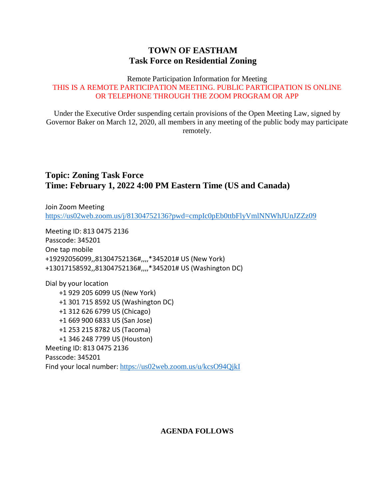## **TOWN OF EASTHAM Task Force on Residential Zoning**

#### Remote Participation Information for Meeting THIS IS A REMOTE PARTICIPATION MEETING. PUBLIC PARTICIPATION IS ONLINE OR TELEPHONE THROUGH THE ZOOM PROGRAM OR APP

Under the Executive Order suspending certain provisions of the Open Meeting Law, signed by Governor Baker on March 12, 2020, all members in any meeting of the public body may participate remotely.

## **Topic: Zoning Task Force Time: February 1, 2022 4:00 PM Eastern Time (US and Canada)**

Join Zoom Meeting <https://us02web.zoom.us/j/81304752136?pwd=cmpIc0pEb0ttbFlyVmlNNWhJUnJZZz09>

Meeting ID: 813 0475 2136 Passcode: 345201 One tap mobile +19292056099,,81304752136#,,,,\*345201# US (New York) +13017158592,,81304752136#,,,,\*345201# US (Washington DC)

Dial by your location +1 929 205 6099 US (New York) +1 301 715 8592 US (Washington DC) +1 312 626 6799 US (Chicago) +1 669 900 6833 US (San Jose) +1 253 215 8782 US (Tacoma) +1 346 248 7799 US (Houston) Meeting ID: 813 0475 2136 Passcode: 345201 Find your local number: <https://us02web.zoom.us/u/kcsO94QjkI>

### **AGENDA FOLLOWS**